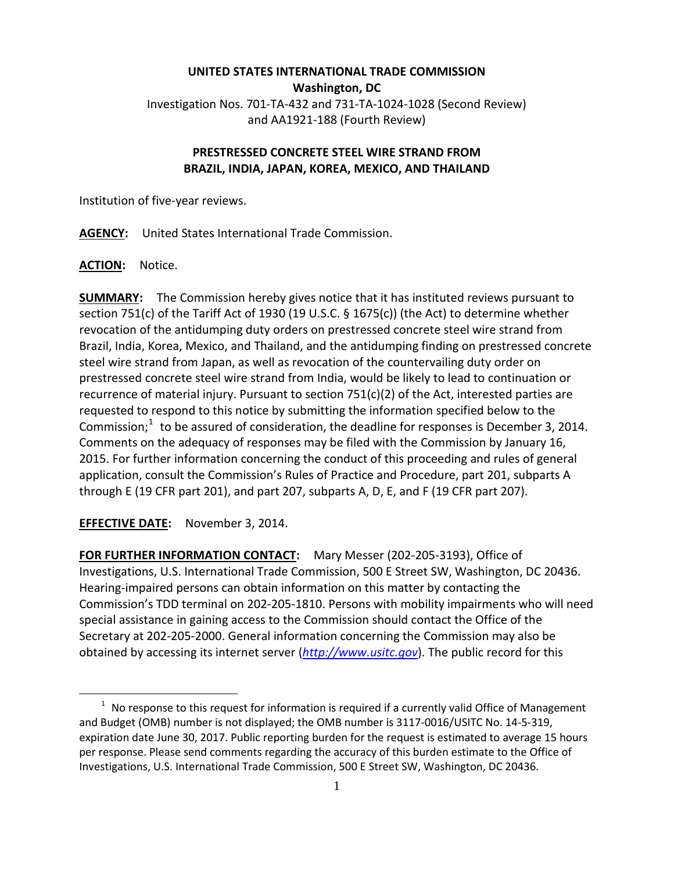## **UNITED STATES INTERNATIONAL TRADE COMMISSION Washington, DC** Investigation Nos. 701-TA-432 and 731-TA-1024-1028 (Second Review) and AA1921-188 (Fourth Review)

## **PRESTRESSED CONCRETE STEEL WIRE STRAND FROM BRAZIL, INDIA, JAPAN, KOREA, MEXICO, AND THAILAND**

Institution of five-year reviews.

**AGENCY:** United States International Trade Commission.

ACTION: Notice.

 $\overline{a}$ 

**SUMMARY:** The Commission hereby gives notice that it has instituted reviews pursuant to section 751(c) of the Tariff Act of 1930 (19 U.S.C. § 1675(c)) (the Act) to determine whether revocation of the antidumping duty orders on prestressed concrete steel wire strand from Brazil, India, Korea, Mexico, and Thailand, and the antidumping finding on prestressed concrete steel wire strand from Japan, as well as revocation of the countervailing duty order on prestressed concrete steel wire strand from India, would be likely to lead to continuation or recurrence of material injury. Pursuant to section  $751(c)(2)$  of the Act, interested parties are requested to respond to this notice by submitting the information specified below to the Commission; $1$  to be assured of consideration, the deadline for responses is December 3, 2014. Comments on the adequacy of responses may be filed with the Commission by January 16, 2015. For further information concerning the conduct of this proceeding and rules of general application, consult the Commission's Rules of Practice and Procedure, part 201, subparts A through E (19 CFR part 201), and part 207, subparts A, D, E, and F (19 CFR part 207).

**EFFECTIVE DATE:** November 3, 2014.

**FOR FURTHER INFORMATION CONTACT:** Mary Messer (202-205-3193), Office of Investigations, U.S. International Trade Commission, 500 E Street SW, Washington, DC 20436. Hearing-impaired persons can obtain information on this matter by contacting the Commission's TDD terminal on 202-205-1810. Persons with mobility impairments who will need special assistance in gaining access to the Commission should contact the Office of the Secretary at 202-205-2000. General information concerning the Commission may also be obtained by accessing its internet server (*[http://www.usitc.gov](http://www.usitc.gov/)*). The public record for this

<span id="page-0-0"></span> $1$  No response to this request for information is required if a currently valid Office of Management and Budget (OMB) number is not displayed; the OMB number is 3117-0016/USITC No. 14-5-319, expiration date June 30, 2017. Public reporting burden for the request is estimated to average 15 hours per response. Please send comments regarding the accuracy of this burden estimate to the Office of Investigations, U.S. International Trade Commission, 500 E Street SW, Washington, DC 20436.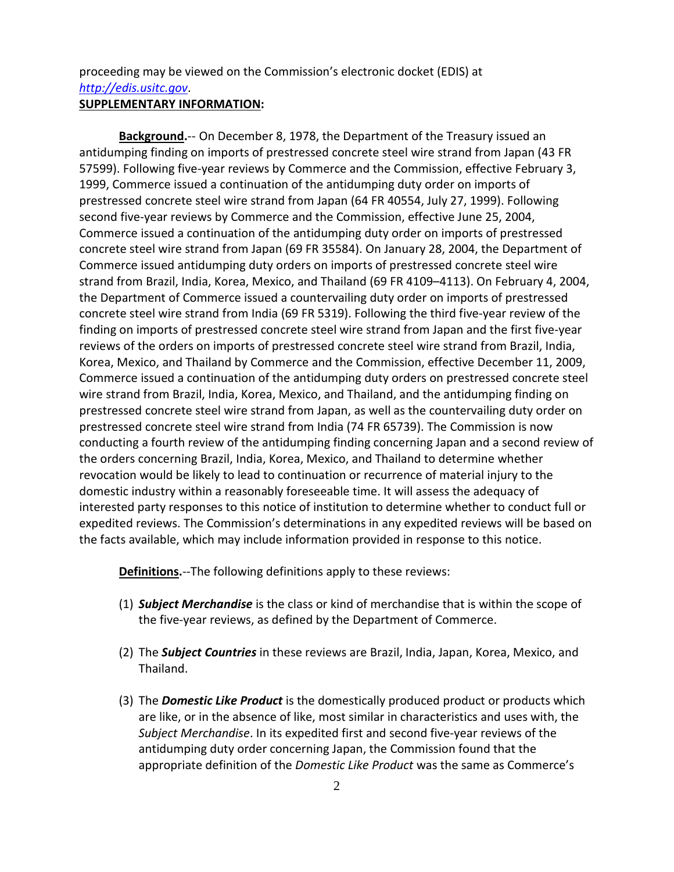proceeding may be viewed on the Commission's electronic docket (EDIS) at *[http://edis.usitc.gov](http://edis.usitc.gov/)*. **SUPPLEMENTARY INFORMATION:**

**Background.**-- On December 8, 1978, the Department of the Treasury issued an antidumping finding on imports of prestressed concrete steel wire strand from Japan (43 FR 57599). Following five-year reviews by Commerce and the Commission, effective February 3, 1999, Commerce issued a continuation of the antidumping duty order on imports of prestressed concrete steel wire strand from Japan (64 FR 40554, July 27, 1999). Following second five-year reviews by Commerce and the Commission, effective June 25, 2004, Commerce issued a continuation of the antidumping duty order on imports of prestressed concrete steel wire strand from Japan (69 FR 35584). On January 28, 2004, the Department of Commerce issued antidumping duty orders on imports of prestressed concrete steel wire strand from Brazil, India, Korea, Mexico, and Thailand (69 FR 4109–4113). On February 4, 2004, the Department of Commerce issued a countervailing duty order on imports of prestressed concrete steel wire strand from India (69 FR 5319). Following the third five-year review of the finding on imports of prestressed concrete steel wire strand from Japan and the first five-year reviews of the orders on imports of prestressed concrete steel wire strand from Brazil, India, Korea, Mexico, and Thailand by Commerce and the Commission, effective December 11, 2009, Commerce issued a continuation of the antidumping duty orders on prestressed concrete steel wire strand from Brazil, India, Korea, Mexico, and Thailand, and the antidumping finding on prestressed concrete steel wire strand from Japan, as well as the countervailing duty order on prestressed concrete steel wire strand from India (74 FR 65739). The Commission is now conducting a fourth review of the antidumping finding concerning Japan and a second review of the orders concerning Brazil, India, Korea, Mexico, and Thailand to determine whether revocation would be likely to lead to continuation or recurrence of material injury to the domestic industry within a reasonably foreseeable time. It will assess the adequacy of interested party responses to this notice of institution to determine whether to conduct full or expedited reviews. The Commission's determinations in any expedited reviews will be based on the facts available, which may include information provided in response to this notice.

**Definitions.**--The following definitions apply to these reviews:

- (1) *Subject Merchandise* is the class or kind of merchandise that is within the scope of the five-year reviews, as defined by the Department of Commerce.
- (2) The *Subject Countries* in these reviews are Brazil, India, Japan, Korea, Mexico, and Thailand.
- (3) The *Domestic Like Product* is the domestically produced product or products which are like, or in the absence of like, most similar in characteristics and uses with, the *Subject Merchandise*. In its expedited first and second five-year reviews of the antidumping duty order concerning Japan, the Commission found that the appropriate definition of the *Domestic Like Product* was the same as Commerce's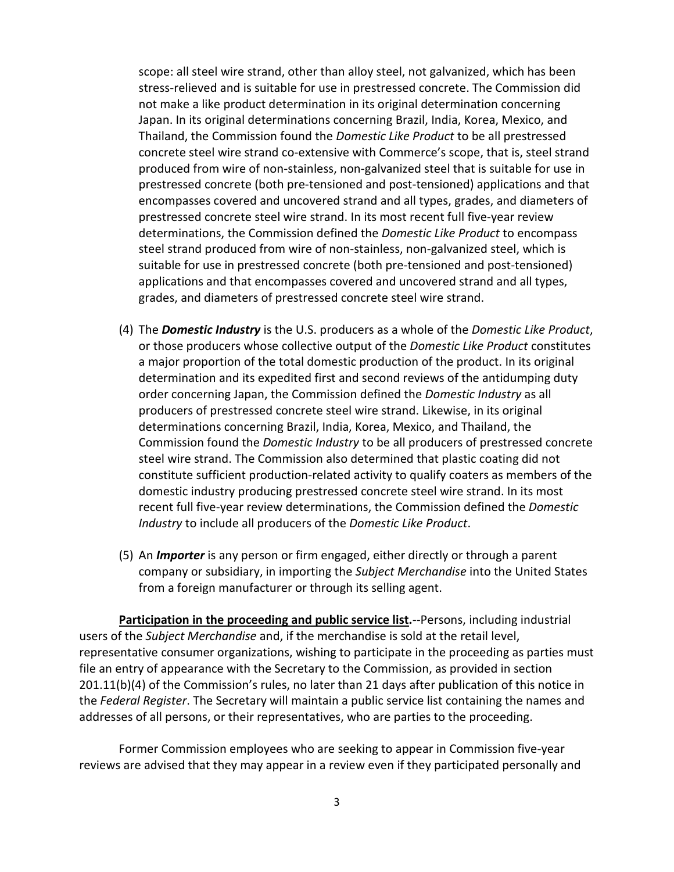scope: all steel wire strand, other than alloy steel, not galvanized, which has been stress-relieved and is suitable for use in prestressed concrete. The Commission did not make a like product determination in its original determination concerning Japan. In its original determinations concerning Brazil, India, Korea, Mexico, and Thailand, the Commission found the *Domestic Like Product* to be all prestressed concrete steel wire strand co-extensive with Commerce's scope, that is, steel strand produced from wire of non-stainless, non-galvanized steel that is suitable for use in prestressed concrete (both pre-tensioned and post-tensioned) applications and that encompasses covered and uncovered strand and all types, grades, and diameters of prestressed concrete steel wire strand. In its most recent full five-year review determinations, the Commission defined the *Domestic Like Product* to encompass steel strand produced from wire of non-stainless, non-galvanized steel, which is suitable for use in prestressed concrete (both pre-tensioned and post-tensioned) applications and that encompasses covered and uncovered strand and all types, grades, and diameters of prestressed concrete steel wire strand.

- (4) The *Domestic Industry* is the U.S. producers as a whole of the *Domestic Like Product*, or those producers whose collective output of the *Domestic Like Product* constitutes a major proportion of the total domestic production of the product. In its original determination and its expedited first and second reviews of the antidumping duty order concerning Japan, the Commission defined the *Domestic Industry* as all producers of prestressed concrete steel wire strand. Likewise, in its original determinations concerning Brazil, India, Korea, Mexico, and Thailand, the Commission found the *Domestic Industry* to be all producers of prestressed concrete steel wire strand. The Commission also determined that plastic coating did not constitute sufficient production-related activity to qualify coaters as members of the domestic industry producing prestressed concrete steel wire strand. In its most recent full five-year review determinations, the Commission defined the *Domestic Industry* to include all producers of the *Domestic Like Product*.
- (5) An *Importer* is any person or firm engaged, either directly or through a parent company or subsidiary, in importing the *Subject Merchandise* into the United States from a foreign manufacturer or through its selling agent.

**Participation in the proceeding and public service list.**--Persons, including industrial users of the *Subject Merchandise* and, if the merchandise is sold at the retail level, representative consumer organizations, wishing to participate in the proceeding as parties must file an entry of appearance with the Secretary to the Commission, as provided in section 201.11(b)(4) of the Commission's rules, no later than 21 days after publication of this notice in the *Federal Register*. The Secretary will maintain a public service list containing the names and addresses of all persons, or their representatives, who are parties to the proceeding.

Former Commission employees who are seeking to appear in Commission five-year reviews are advised that they may appear in a review even if they participated personally and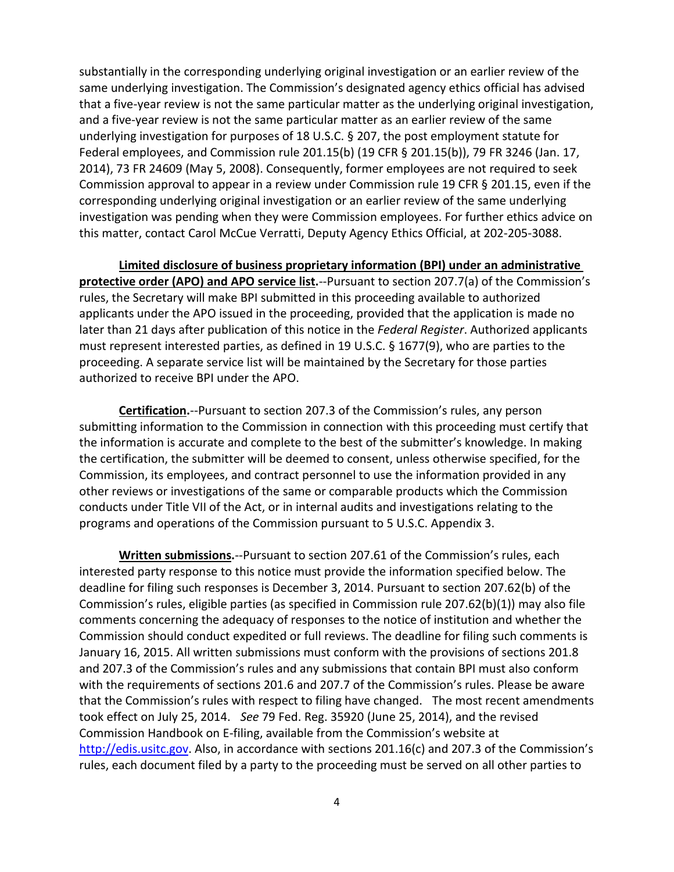substantially in the corresponding underlying original investigation or an earlier review of the same underlying investigation. The Commission's designated agency ethics official has advised that a five-year review is not the same particular matter as the underlying original investigation, and a five-year review is not the same particular matter as an earlier review of the same underlying investigation for purposes of 18 U.S.C. § 207, the post employment statute for Federal employees, and Commission rule 201.15(b) (19 CFR § 201.15(b)), 79 FR 3246 (Jan. 17, 2014), 73 FR 24609 (May 5, 2008). Consequently, former employees are not required to seek Commission approval to appear in a review under Commission rule 19 CFR § 201.15, even if the corresponding underlying original investigation or an earlier review of the same underlying investigation was pending when they were Commission employees. For further ethics advice on this matter, contact Carol McCue Verratti, Deputy Agency Ethics Official, at 202-205-3088.

**Limited disclosure of business proprietary information (BPI) under an administrative protective order (APO) and APO service list.**--Pursuant to section 207.7(a) of the Commission's rules, the Secretary will make BPI submitted in this proceeding available to authorized applicants under the APO issued in the proceeding, provided that the application is made no later than 21 days after publication of this notice in the *Federal Register*. Authorized applicants must represent interested parties, as defined in 19 U.S.C. § 1677(9), who are parties to the proceeding. A separate service list will be maintained by the Secretary for those parties authorized to receive BPI under the APO.

**Certification.**--Pursuant to section 207.3 of the Commission's rules, any person submitting information to the Commission in connection with this proceeding must certify that the information is accurate and complete to the best of the submitter's knowledge. In making the certification, the submitter will be deemed to consent, unless otherwise specified, for the Commission, its employees, and contract personnel to use the information provided in any other reviews or investigations of the same or comparable products which the Commission conducts under Title VII of the Act, or in internal audits and investigations relating to the programs and operations of the Commission pursuant to 5 U.S.C. Appendix 3.

**Written submissions.**--Pursuant to section 207.61 of the Commission's rules, each interested party response to this notice must provide the information specified below. The deadline for filing such responses is December 3, 2014. Pursuant to section 207.62(b) of the Commission's rules, eligible parties (as specified in Commission rule 207.62(b)(1)) may also file comments concerning the adequacy of responses to the notice of institution and whether the Commission should conduct expedited or full reviews. The deadline for filing such comments is January 16, 2015. All written submissions must conform with the provisions of sections 201.8 and 207.3 of the Commission's rules and any submissions that contain BPI must also conform with the requirements of sections 201.6 and 207.7 of the Commission's rules. Please be aware that the Commission's rules with respect to filing have changed. The most recent amendments took effect on July 25, 2014. *See* 79 Fed. Reg. 35920 (June 25, 2014), and the revised Commission Handbook on E-filing, available from the Commission's website at [http://edis.usitc.gov.](http://edis.usitc.gov/) Also, in accordance with sections 201.16(c) and 207.3 of the Commission's rules, each document filed by a party to the proceeding must be served on all other parties to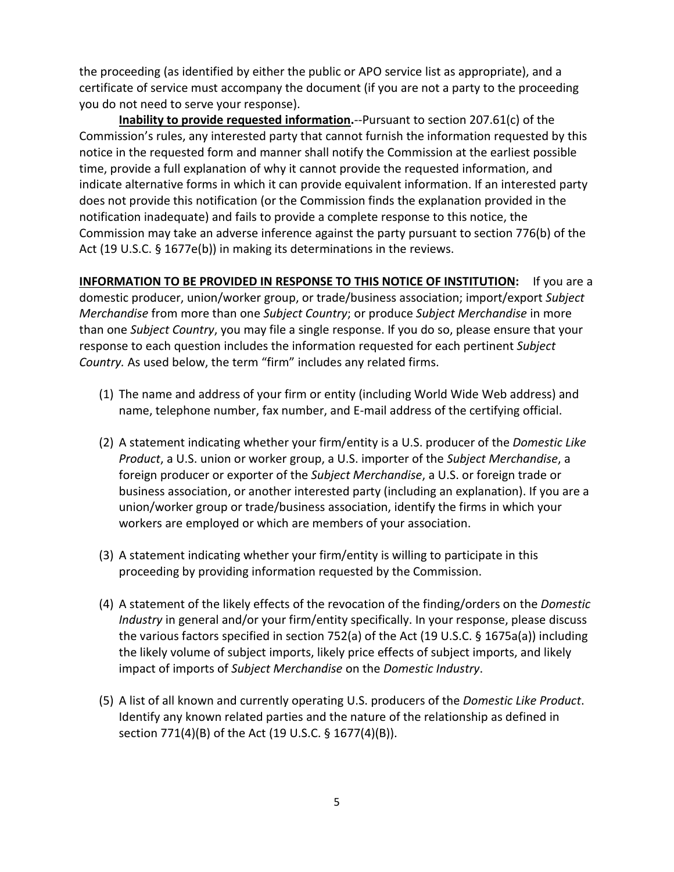the proceeding (as identified by either the public or APO service list as appropriate), and a certificate of service must accompany the document (if you are not a party to the proceeding you do not need to serve your response).

**Inability to provide requested information.**--Pursuant to section 207.61(c) of the Commission's rules, any interested party that cannot furnish the information requested by this notice in the requested form and manner shall notify the Commission at the earliest possible time, provide a full explanation of why it cannot provide the requested information, and indicate alternative forms in which it can provide equivalent information. If an interested party does not provide this notification (or the Commission finds the explanation provided in the notification inadequate) and fails to provide a complete response to this notice, the Commission may take an adverse inference against the party pursuant to section 776(b) of the Act (19 U.S.C. § 1677e(b)) in making its determinations in the reviews.

**INFORMATION TO BE PROVIDED IN RESPONSE TO THIS NOTICE OF INSTITUTION:** If you are a domestic producer, union/worker group, or trade/business association; import/export *Subject Merchandise* from more than one *Subject Country*; or produce *Subject Merchandise* in more than one *Subject Country*, you may file a single response. If you do so, please ensure that your response to each question includes the information requested for each pertinent *Subject Country.* As used below, the term "firm" includes any related firms.

- (1) The name and address of your firm or entity (including World Wide Web address) and name, telephone number, fax number, and E-mail address of the certifying official.
- (2) A statement indicating whether your firm/entity is a U.S. producer of the *Domestic Like Product*, a U.S. union or worker group, a U.S. importer of the *Subject Merchandise*, a foreign producer or exporter of the *Subject Merchandise*, a U.S. or foreign trade or business association, or another interested party (including an explanation). If you are a union/worker group or trade/business association, identify the firms in which your workers are employed or which are members of your association.
- (3) A statement indicating whether your firm/entity is willing to participate in this proceeding by providing information requested by the Commission.
- (4) A statement of the likely effects of the revocation of the finding/orders on the *Domestic Industry* in general and/or your firm/entity specifically. In your response, please discuss the various factors specified in section 752(a) of the Act (19 U.S.C. § 1675a(a)) including the likely volume of subject imports, likely price effects of subject imports, and likely impact of imports of *Subject Merchandise* on the *Domestic Industry*.
- (5) A list of all known and currently operating U.S. producers of the *Domestic Like Product*. Identify any known related parties and the nature of the relationship as defined in section 771(4)(B) of the Act (19 U.S.C. § 1677(4)(B)).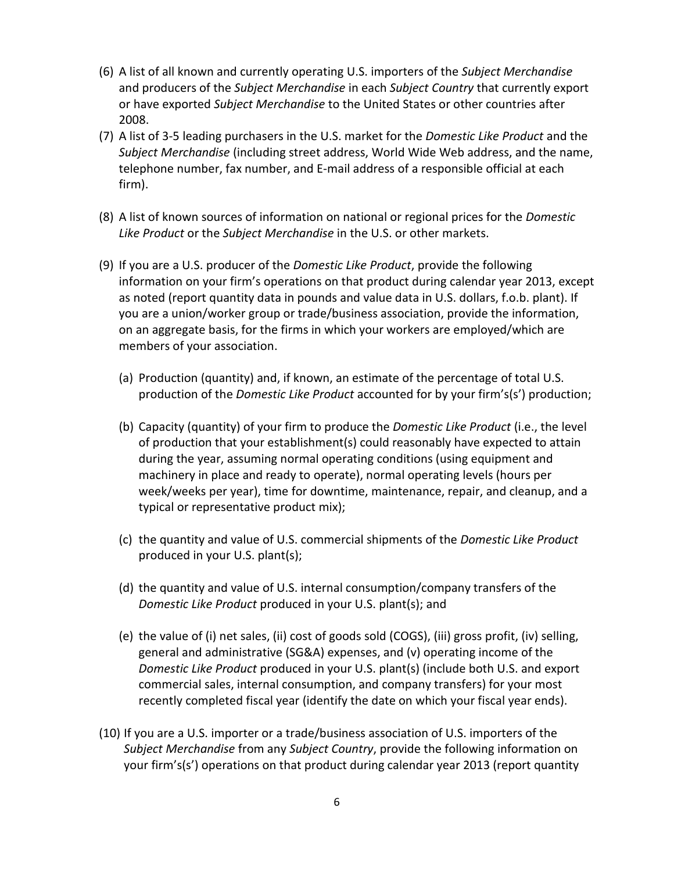- (6) A list of all known and currently operating U.S. importers of the *Subject Merchandise* and producers of the *Subject Merchandise* in each *Subject Country* that currently export or have exported *Subject Merchandise* to the United States or other countries after 2008.
- (7) A list of 3-5 leading purchasers in the U.S. market for the *Domestic Like Product* and the *Subject Merchandise* (including street address, World Wide Web address, and the name, telephone number, fax number, and E-mail address of a responsible official at each firm).
- (8) A list of known sources of information on national or regional prices for the *Domestic Like Product* or the *Subject Merchandise* in the U.S. or other markets.
- (9) If you are a U.S. producer of the *Domestic Like Product*, provide the following information on your firm's operations on that product during calendar year 2013, except as noted (report quantity data in pounds and value data in U.S. dollars, f.o.b. plant). If you are a union/worker group or trade/business association, provide the information, on an aggregate basis, for the firms in which your workers are employed/which are members of your association.
	- (a) Production (quantity) and, if known, an estimate of the percentage of total U.S. production of the *Domestic Like Product* accounted for by your firm's(s') production;
	- (b) Capacity (quantity) of your firm to produce the *Domestic Like Product* (i.e., the level of production that your establishment(s) could reasonably have expected to attain during the year, assuming normal operating conditions (using equipment and machinery in place and ready to operate), normal operating levels (hours per week/weeks per year), time for downtime, maintenance, repair, and cleanup, and a typical or representative product mix);
	- (c) the quantity and value of U.S. commercial shipments of the *Domestic Like Product* produced in your U.S. plant(s);
	- (d) the quantity and value of U.S. internal consumption/company transfers of the *Domestic Like Product* produced in your U.S. plant(s); and
	- (e) the value of (i) net sales, (ii) cost of goods sold (COGS), (iii) gross profit, (iv) selling, general and administrative (SG&A) expenses, and (v) operating income of the *Domestic Like Product* produced in your U.S. plant(s) (include both U.S. and export commercial sales, internal consumption, and company transfers) for your most recently completed fiscal year (identify the date on which your fiscal year ends).
- (10) If you are a U.S. importer or a trade/business association of U.S. importers of the *Subject Merchandise* from any *Subject Country*, provide the following information on your firm's(s') operations on that product during calendar year 2013 (report quantity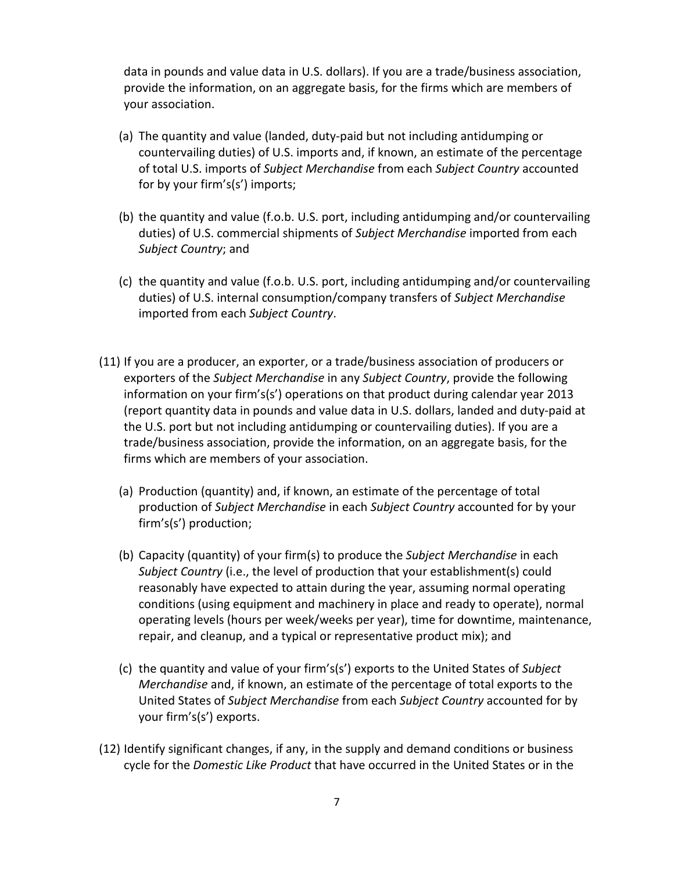data in pounds and value data in U.S. dollars). If you are a trade/business association, provide the information, on an aggregate basis, for the firms which are members of your association.

- (a) The quantity and value (landed, duty-paid but not including antidumping or countervailing duties) of U.S. imports and, if known, an estimate of the percentage of total U.S. imports of *Subject Merchandise* from each *Subject Country* accounted for by your firm's(s') imports;
- (b) the quantity and value (f.o.b. U.S. port, including antidumping and/or countervailing duties) of U.S. commercial shipments of *Subject Merchandise* imported from each *Subject Country*; and
- (c) the quantity and value (f.o.b. U.S. port, including antidumping and/or countervailing duties) of U.S. internal consumption/company transfers of *Subject Merchandise* imported from each *Subject Country*.
- (11) If you are a producer, an exporter, or a trade/business association of producers or exporters of the *Subject Merchandise* in any *Subject Country*, provide the following information on your firm's(s') operations on that product during calendar year 2013 (report quantity data in pounds and value data in U.S. dollars, landed and duty-paid at the U.S. port but not including antidumping or countervailing duties). If you are a trade/business association, provide the information, on an aggregate basis, for the firms which are members of your association.
	- (a) Production (quantity) and, if known, an estimate of the percentage of total production of *Subject Merchandise* in each *Subject Country* accounted for by your firm's(s') production;
	- (b) Capacity (quantity) of your firm(s) to produce the *Subject Merchandise* in each *Subject Country* (i.e., the level of production that your establishment(s) could reasonably have expected to attain during the year, assuming normal operating conditions (using equipment and machinery in place and ready to operate), normal operating levels (hours per week/weeks per year), time for downtime, maintenance, repair, and cleanup, and a typical or representative product mix); and
	- (c) the quantity and value of your firm's(s') exports to the United States of *Subject Merchandise* and, if known, an estimate of the percentage of total exports to the United States of *Subject Merchandise* from each *Subject Country* accounted for by your firm's(s') exports.
- (12) Identify significant changes, if any, in the supply and demand conditions or business cycle for the *Domestic Like Product* that have occurred in the United States or in the